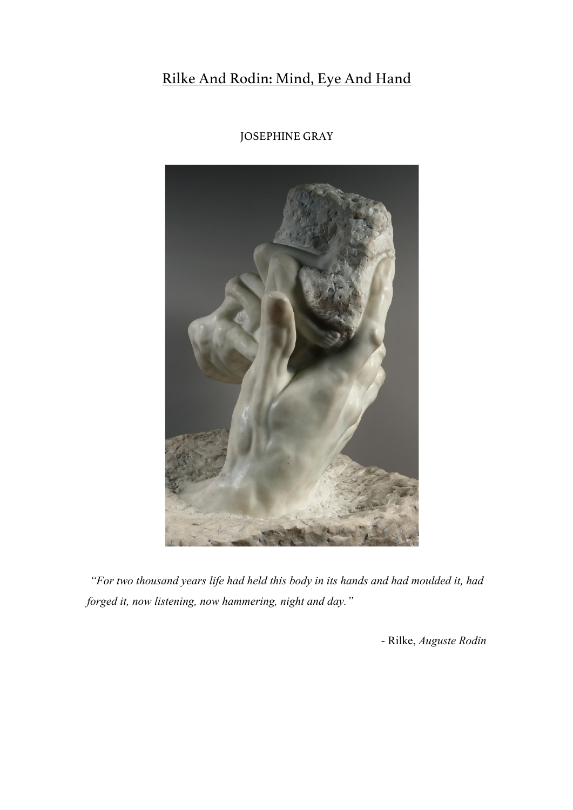# Rilke And Rodin: Mind, Eye And Hand



# JOSEPHINE GRAY

*"For two thousand years life had held this body in its hands and had moulded it, had forged it, now listening, now hammering, night and day."*

- Rilke, *Auguste Rodin*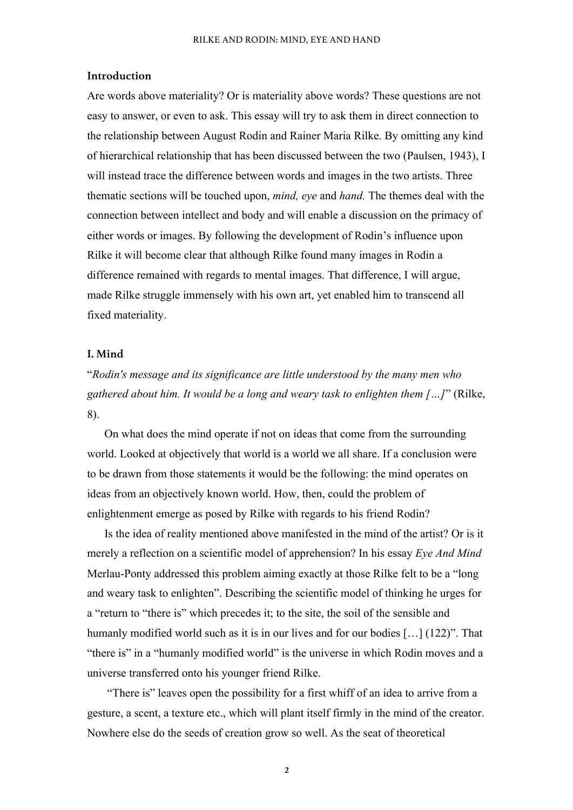### **Introduction**

Are words above materiality? Or is materiality above words? These questions are not easy to answer, or even to ask. This essay will try to ask them in direct connection to the relationship between August Rodin and Rainer Maria Rilke. By omitting any kind of hierarchical relationship that has been discussed between the two (Paulsen, 1943), I will instead trace the difference between words and images in the two artists. Three thematic sections will be touched upon, *mind, eye* and *hand.* The themes deal with the connection between intellect and body and will enable a discussion on the primacy of either words or images. By following the development of Rodin's influence upon Rilke it will become clear that although Rilke found many images in Rodin a difference remained with regards to mental images. That difference, I will argue, made Rilke struggle immensely with his own art, yet enabled him to transcend all fixed materiality.

## **I. Mind**

"*Rodin's message and its significance are little understood by the many men who gathered about him. It would be a long and weary task to enlighten them […]*" (Rilke, 8).

On what does the mind operate if not on ideas that come from the surrounding world. Looked at objectively that world is a world we all share. If a conclusion were to be drawn from those statements it would be the following: the mind operates on ideas from an objectively known world. How, then, could the problem of enlightenment emerge as posed by Rilke with regards to his friend Rodin?

Is the idea of reality mentioned above manifested in the mind of the artist? Or is it merely a reflection on a scientific model of apprehension? In his essay *Eye And Mind* Merlau-Ponty addressed this problem aiming exactly at those Rilke felt to be a "long and weary task to enlighten". Describing the scientific model of thinking he urges for a "return to "there is" which precedes it; to the site, the soil of the sensible and humanly modified world such as it is in our lives and for our bodies [...] (122)". That "there is" in a "humanly modified world" is the universe in which Rodin moves and a universe transferred onto his younger friend Rilke.

"There is" leaves open the possibility for a first whiff of an idea to arrive from a gesture, a scent, a texture etc., which will plant itself firmly in the mind of the creator. Nowhere else do the seeds of creation grow so well. As the seat of theoretical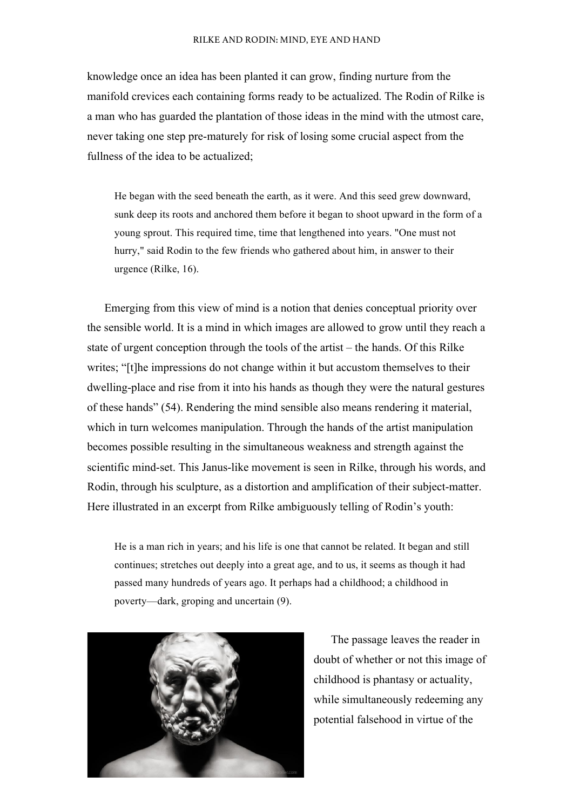knowledge once an idea has been planted it can grow, finding nurture from the manifold crevices each containing forms ready to be actualized. The Rodin of Rilke is a man who has guarded the plantation of those ideas in the mind with the utmost care, never taking one step pre-maturely for risk of losing some crucial aspect from the fullness of the idea to be actualized;

He began with the seed beneath the earth, as it were. And this seed grew downward, sunk deep its roots and anchored them before it began to shoot upward in the form of a young sprout. This required time, time that lengthened into years. "One must not hurry," said Rodin to the few friends who gathered about him, in answer to their urgence (Rilke, 16).

Emerging from this view of mind is a notion that denies conceptual priority over the sensible world. It is a mind in which images are allowed to grow until they reach a state of urgent conception through the tools of the artist – the hands. Of this Rilke writes; "[t]he impressions do not change within it but accustom themselves to their dwelling-place and rise from it into his hands as though they were the natural gestures of these hands" (54). Rendering the mind sensible also means rendering it material, which in turn welcomes manipulation. Through the hands of the artist manipulation becomes possible resulting in the simultaneous weakness and strength against the scientific mind-set. This Janus-like movement is seen in Rilke, through his words, and Rodin, through his sculpture, as a distortion and amplification of their subject-matter. Here illustrated in an excerpt from Rilke ambiguously telling of Rodin's youth:

He is a man rich in years; and his life is one that cannot be related. It began and still continues; stretches out deeply into a great age, and to us, it seems as though it had passed many hundreds of years ago. It perhaps had a childhood; a childhood in poverty—dark, groping and uncertain (9).



The passage leaves the reader in doubt of whether or not this image of childhood is phantasy or actuality, while simultaneously redeeming any potential falsehood in virtue of the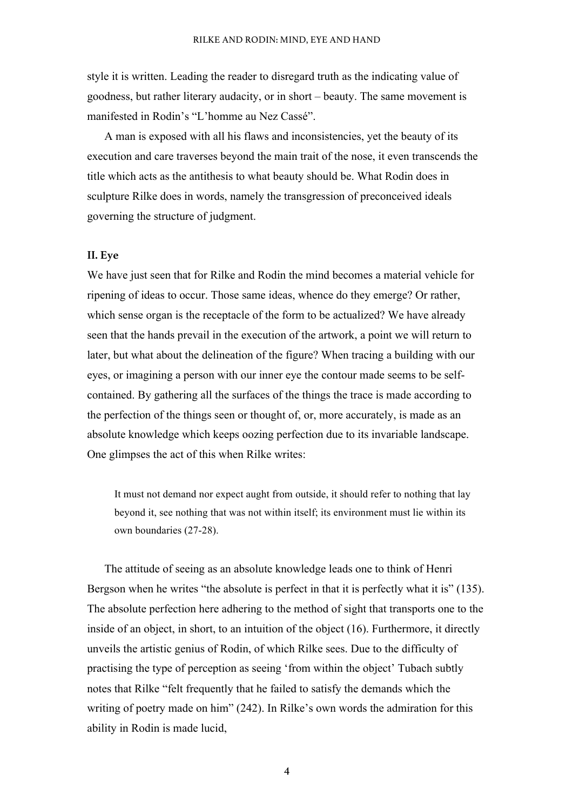style it is written. Leading the reader to disregard truth as the indicating value of goodness, but rather literary audacity, or in short – beauty. The same movement is manifested in Rodin's "L'homme au Nez Cassé".

A man is exposed with all his flaws and inconsistencies, yet the beauty of its execution and care traverses beyond the main trait of the nose, it even transcends the title which acts as the antithesis to what beauty should be. What Rodin does in sculpture Rilke does in words, namely the transgression of preconceived ideals governing the structure of judgment.

# **II. Eye**

We have just seen that for Rilke and Rodin the mind becomes a material vehicle for ripening of ideas to occur. Those same ideas, whence do they emerge? Or rather, which sense organ is the receptacle of the form to be actualized? We have already seen that the hands prevail in the execution of the artwork, a point we will return to later, but what about the delineation of the figure? When tracing a building with our eyes, or imagining a person with our inner eye the contour made seems to be selfcontained. By gathering all the surfaces of the things the trace is made according to the perfection of the things seen or thought of, or, more accurately, is made as an absolute knowledge which keeps oozing perfection due to its invariable landscape. One glimpses the act of this when Rilke writes:

It must not demand nor expect aught from outside, it should refer to nothing that lay beyond it, see nothing that was not within itself; its environment must lie within its own boundaries (27-28).

The attitude of seeing as an absolute knowledge leads one to think of Henri Bergson when he writes "the absolute is perfect in that it is perfectly what it is" (135). The absolute perfection here adhering to the method of sight that transports one to the inside of an object, in short, to an intuition of the object (16). Furthermore, it directly unveils the artistic genius of Rodin, of which Rilke sees. Due to the difficulty of practising the type of perception as seeing 'from within the object' Tubach subtly notes that Rilke "felt frequently that he failed to satisfy the demands which the writing of poetry made on him" (242). In Rilke's own words the admiration for this ability in Rodin is made lucid,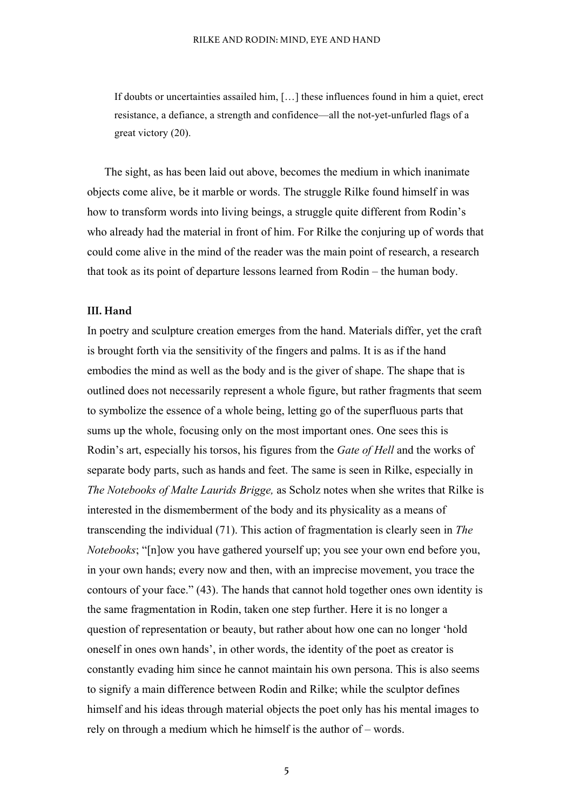If doubts or uncertainties assailed him, […] these influences found in him a quiet, erect resistance, a defiance, a strength and confidence—all the not-yet-unfurled flags of a great victory (20).

The sight, as has been laid out above, becomes the medium in which inanimate objects come alive, be it marble or words. The struggle Rilke found himself in was how to transform words into living beings, a struggle quite different from Rodin's who already had the material in front of him. For Rilke the conjuring up of words that could come alive in the mind of the reader was the main point of research, a research that took as its point of departure lessons learned from Rodin – the human body.

### **III. Hand**

In poetry and sculpture creation emerges from the hand. Materials differ, yet the craft is brought forth via the sensitivity of the fingers and palms. It is as if the hand embodies the mind as well as the body and is the giver of shape. The shape that is outlined does not necessarily represent a whole figure, but rather fragments that seem to symbolize the essence of a whole being, letting go of the superfluous parts that sums up the whole, focusing only on the most important ones. One sees this is Rodin's art, especially his torsos, his figures from the *Gate of Hell* and the works of separate body parts, such as hands and feet. The same is seen in Rilke, especially in *The Notebooks of Malte Laurids Brigge,* as Scholz notes when she writes that Rilke is interested in the dismemberment of the body and its physicality as a means of transcending the individual (71). This action of fragmentation is clearly seen in *The Notebooks*; "[n]ow you have gathered yourself up; you see your own end before you, in your own hands; every now and then, with an imprecise movement, you trace the contours of your face." (43). The hands that cannot hold together ones own identity is the same fragmentation in Rodin, taken one step further. Here it is no longer a question of representation or beauty, but rather about how one can no longer 'hold oneself in ones own hands', in other words, the identity of the poet as creator is constantly evading him since he cannot maintain his own persona. This is also seems to signify a main difference between Rodin and Rilke; while the sculptor defines himself and his ideas through material objects the poet only has his mental images to rely on through a medium which he himself is the author of – words.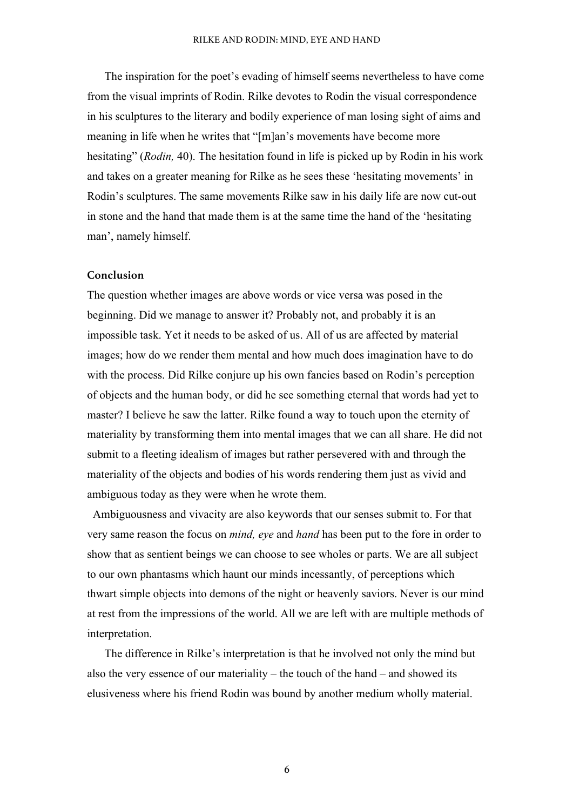The inspiration for the poet's evading of himself seems nevertheless to have come from the visual imprints of Rodin. Rilke devotes to Rodin the visual correspondence in his sculptures to the literary and bodily experience of man losing sight of aims and meaning in life when he writes that "[m]an's movements have become more hesitating" (*Rodin,* 40). The hesitation found in life is picked up by Rodin in his work and takes on a greater meaning for Rilke as he sees these 'hesitating movements' in Rodin's sculptures. The same movements Rilke saw in his daily life are now cut-out in stone and the hand that made them is at the same time the hand of the 'hesitating man', namely himself.

### **Conclusion**

The question whether images are above words or vice versa was posed in the beginning. Did we manage to answer it? Probably not, and probably it is an impossible task. Yet it needs to be asked of us. All of us are affected by material images; how do we render them mental and how much does imagination have to do with the process. Did Rilke conjure up his own fancies based on Rodin's perception of objects and the human body, or did he see something eternal that words had yet to master? I believe he saw the latter. Rilke found a way to touch upon the eternity of materiality by transforming them into mental images that we can all share. He did not submit to a fleeting idealism of images but rather persevered with and through the materiality of the objects and bodies of his words rendering them just as vivid and ambiguous today as they were when he wrote them.

Ambiguousness and vivacity are also keywords that our senses submit to. For that very same reason the focus on *mind, eye* and *hand* has been put to the fore in order to show that as sentient beings we can choose to see wholes or parts. We are all subject to our own phantasms which haunt our minds incessantly, of perceptions which thwart simple objects into demons of the night or heavenly saviors. Never is our mind at rest from the impressions of the world. All we are left with are multiple methods of interpretation.

The difference in Rilke's interpretation is that he involved not only the mind but also the very essence of our materiality – the touch of the hand – and showed its elusiveness where his friend Rodin was bound by another medium wholly material.